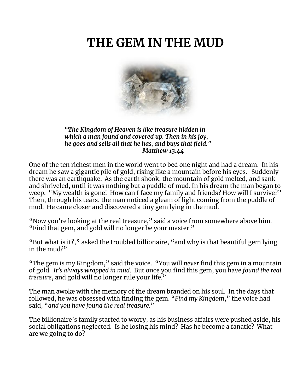# **THE GEM IN THE MUD**



*"The Kingdom of Heaven is like treasure hidden in which a man found and covered up. Then in his joy, he goes and sells all that he has, and buys that field." Matthew 13:44*

One of the ten richest men in the world went to bed one night and had a dream. In his dream he saw a gigantic pile of gold, rising like a mountain before his eyes. Suddenly there was an earthquake. As the earth shook, the mountain of gold melted, and sank and shriveled, until it was nothing but a puddle of mud. In his dream the man began to weep. "My wealth is gone! How can I face my family and friends? How will I survive?" Then, through his tears, the man noticed a gleam of light coming from the puddle of mud. He came closer and discovered a tiny gem lying in the mud.

"Now you're looking at the real treasure," said a voice from somewhere above him. "Find that gem, and gold will no longer be your master."

"But what is it?," asked the troubled billionaire, "and why is that beautiful gem lying in the mud?"

"The gem is my Kingdom," said the voice. "You will *never* find this gem in a mountain of gold. *It's always wrapped in mud*. But once you find this gem, you have *found the real treasure*, and gold will no longer rule your life."

The man awoke with the memory of the dream branded on his soul. In the days that followed, he was obsessed with finding the gem. "*Find my Kingdom*," the voice had said, "*and you have found the real treasure.*"

The billionaire's family started to worry, as his business affairs were pushed aside, his social obligations neglected. Is he losing his mind? Has he become a fanatic? What are we going to do?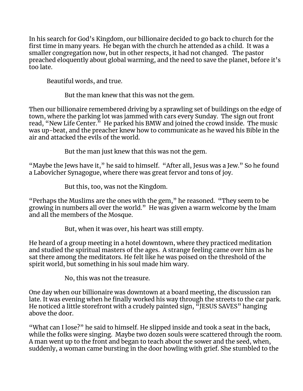In his search for God's Kingdom, our billionaire decided to go back to church for the first time in many years. He began with the church he attended as a child. It was a smaller congregation now, but in other respects, it had not changed. The pastor preached eloquently about global warming, and the need to save the planet, before it's too late.

Beautiful words, and true.

But the man knew that this was not the gem.

Then our billionaire remembered driving by a sprawling set of buildings on the edge of town, where the parking lot was jammed with cars every Sunday. The sign out front read, "New Life Center." He parked his BMW and joined the crowd inside. The music was up-beat, and the preacher knew how to communicate as he waved his Bible in the air and attacked the evils of the world.

But the man just knew that this was not the gem.

"Maybe the Jews have it," he said to himself. "After all, Jesus was a Jew." So he found a Labovicher Synagogue, where there was great fervor and tons of joy.

But this, too, was not the Kingdom.

"Perhaps the Muslims are the ones with the gem," he reasoned. "They seem to be growing in numbers all over the world." He was given a warm welcome by the Imam and all the members of the Mosque.

But, when it was over, his heart was still empty.

He heard of a group meeting in a hotel downtown, where they practiced meditation and studied the spiritual masters of the ages. A strange feeling came over him as he sat there among the meditators. He felt like he was poised on the threshold of the spirit world, but something in his soul made him wary.

No, this was not the treasure.

One day when our billionaire was downtown at a board meeting, the discussion ran late. It was evening when he finally worked his way through the streets to the car park. He noticed a little storefront with a crudely painted sign, "JESUS SAVES" hanging above the door.

"What can I lose?" he said to himself. He slipped inside and took a seat in the back, while the folks were singing. Maybe two dozen souls were scattered through the room. A man went up to the front and began to teach about the sower and the seed, when, suddenly, a woman came bursting in the door howling with grief. She stumbled to the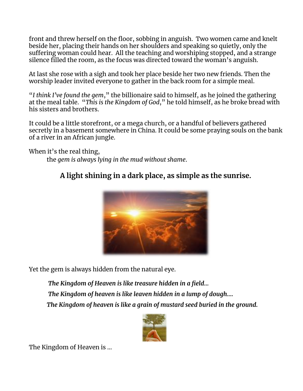front and threw herself on the floor, sobbing in anguish. Two women came and knelt beside her, placing their hands on her shoulders and speaking so quietly, only the suffering woman could hear. All the teaching and worshiping stopped, and a strange silence filled the room, as the focus was directed toward the woman's anguish.

At last she rose with a sigh and took her place beside her two new friends. Then the worship leader invited everyone to gather in the back room for a simple meal.

"*I think I've found the gem*," the billionaire said to himself, as he joined the gathering at the meal table. "*This is the Kingdom of God*," he told himself, as he broke bread with his sisters and brothers.

It could be a little storefront, or a mega church, or a handful of believers gathered secretly in a basement somewhere in China. It could be some praying souls on the bank of a river in an African jungle.

When it's the real thing,

the *gem is always lying in the mud without shame*.

# **A light shining in a dark place, as simple as the sunrise.**



Yet the gem is always hidden from the natural eye.

*The Kingdom of Heaven is like treasure hidden in a field… The Kingdom of heaven is like leaven hidden in a lump of dough…. The Kingdom of heaven is like a grain of mustard seed buried in the ground.*



The Kingdom of Heaven is …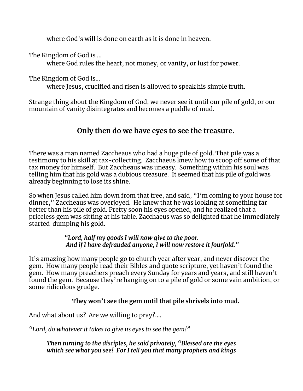where God's will is done on earth as it is done in heaven.

The Kingdom of God is …

where God rules the heart, not money, or vanity, or lust for power.

The Kingdom of God is…

where Jesus, crucified and risen is allowed to speak his simple truth.

Strange thing about the Kingdom of God, we never see it until our pile of gold, or our mountain of vanity disintegrates and becomes a puddle of mud.

# **Only then do we have eyes to see the treasure.**

There was a man named Zaccheaus who had a huge pile of gold. That pile was a testimony to his skill at tax-collecting. Zacchaeus knew how to scoop off some of that tax money for himself. But Zaccheaus was uneasy. Something within his soul was telling him that his gold was a dubious treasure. It seemed that his pile of gold was already beginning to lose its shine.

So when Jesus called him down from that tree, and said, "I'm coming to your house for dinner," Zaccheaus was overjoyed. He knew that he was looking at something far better than his pile of gold. Pretty soon his eyes opened, and he realized that a priceless gem was sitting at his table. Zacchaeus was so delighted that he immediately started dumping his gold.

> *"Lord, half my goods I will now give to the poor. And if I have defrauded anyone, I will now restore it fourfold."*

It's amazing how many people go to church year after year, and never discover the gem. How many people read their Bibles and quote scripture, yet haven't found the gem. How many preachers preach every Sunday for years and years, and still haven't found the gem. Because they're hanging on to a pile of gold or some vain ambition, or some ridiculous grudge.

**They won't see the gem until that pile shrivels into mud.**

And what about us? Are we willing to pray?....

*"Lord, do whatever it takes to give us eyes to see the gem!"*

*Then turning to the disciples, he said privately, "Blessed are the eyes which see what you see! For I tell you that many prophets and kings*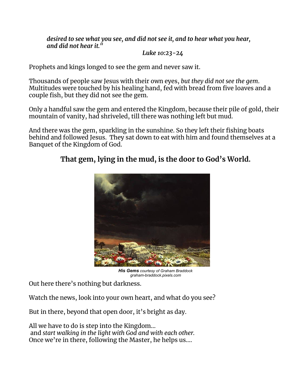*desired to see what you see, and did not see it, and to hear what you hear, and did not hear it."*

#### *Luke 10:23-24*

Prophets and kings longed to see the gem and never saw it.

Thousands of people saw Jesus with their own eyes, *but they did not see the gem*. Multitudes were touched by his healing hand, fed with bread from five loaves and a couple fish, but they did not see the gem.

Only a handful saw the gem and entered the Kingdom, because their pile of gold, their mountain of vanity, had shriveled, till there was nothing left but mud.

And there was the gem, sparkling in the sunshine. So they left their fishing boats behind and followed Jesus. They sat down to eat with him and found themselves at a Banquet of the Kingdom of God.

## **That gem, lying in the mud, is the door to God's World.**



*His Gems courtesy of Graham Braddock graham-braddock.pixels.com*

Out here there's nothing but darkness.

Watch the news, look into your own heart, and what do you see?

But in there, beyond that open door, it's bright as day.

All we have to do is step into the Kingdom… and *start walking in the light with God and with each other.* Once we're in there, following the Master, he helps us….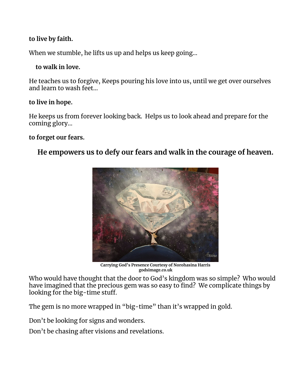#### **to live by faith.**

When we stumble, he lifts us up and helps us keep going…

#### **to walk in love.**

He teaches us to forgive, Keeps pouring his love into us, until we get over ourselves and learn to wash feet…

#### **to live in hope.**

He keeps us from forever looking back. Helps us to look ahead and prepare for the coming glory…

#### **to forget our fears.**

### **He empowers us to defy our fears and walk in the courage of heaven.**



**Carrying God's Presence Courtesy of Norohasina Harris godsimage.co.uk**

Who would have thought that the door to God's kingdom was so simple? Who would have imagined that the precious gem was so easy to find? We complicate things by looking for the big-time stuff.

The gem is no more wrapped in "big-time" than it's wrapped in gold.

Don't be looking for signs and wonders.

Don't be chasing after visions and revelations.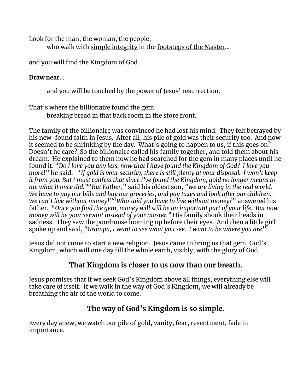Look for the man, the woman, the people,

who walk with simple integrity in the footsteps of the Master…

and you will find the Kingdom of God.

### **Draw near…**

and you will be touched by the power of Jesus' resurrection.

That's where the billionaire found the gem:

breaking bread in that back room in the store front.

The family of the billionaire was convinced he had lost his mind. They felt betrayed by his new-found faith in Jesus. After all, his pile of gold was their security too. And now it seemed to be shrinking by the day. What's going to happen to us, if this goes on? Doesn't he care? So the billionaire called his family together, and told them about his dream. He explained to them how he had searched for the gem in many places until he found it. "*Do I love you any less, now that I have found the Kingdom of God? I love you more*!" he said. "*If gold is your security, there is still plenty at your disposal. I won't keep it from you. But I must confess that since I've found the Kingdom, gold no longer means to me what it once did."*"*But Father*," said his oldest son, *"we are living in the real world. We have to pay our bills and buy our groceries, and pay taxes and look after our children. We can't live without money!"*"*Who said you have to live without money?*" answered his father. "*Once you find the gem, money will still be an important part of your life. But now money will be your servant instead of your master."* His family shook their heads in sadness. They saw the poorhouse looming up before their eyes. And then a little girl spoke up and said, *"Grampa, I want to see what you see. I want to be where you are!"*

Jesus did not come to start a new religion. Jesus came to bring us that gem, God's Kingdom, which will one day fill the whole earth, visibly, with the glory of God.

# **That Kingdom is closer to us now than our breath.**

Jesus promises that if we seek God's Kingdom above all things, everything else will take care of itself. If we walk in the way of God's Kingdom, we will already be breathing the air of the world to come.

# **The way of God's Kingdom is so simple.**

Every day anew, we watch our pile of gold, vanity, fear, resentment, fade in importance.